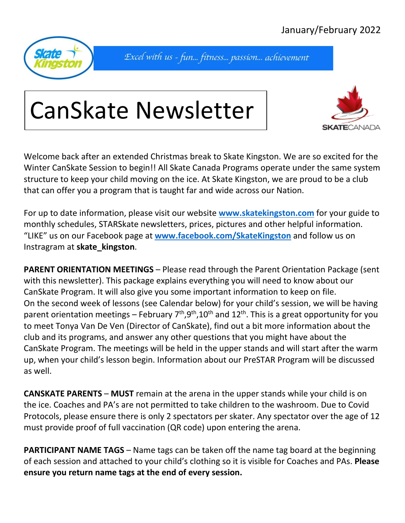

Excel with us - fun... fitness... passion... achievement

## CanSkate Newsletter



Welcome back after an extended Christmas break to Skate Kingston. We are so excited for the Winter CanSkate Session to begin!! All Skate Canada Programs operate under the same system structure to keep your child moving on the ice. At Skate Kingston, we are proud to be a club that can offer you a program that is taught far and wide across our Nation.

For up to date information, please visit our website **[www.skatekingston.com](http://www.skatekingston.com/)** for your guide to monthly schedules, STARSkate newsletters, prices, pictures and other helpful information. "LIKE" us on our Facebook page at **[www.facebook.com/SkateKingston](http://www.facebook.com/SkateKingston)** and follow us on Instragram at **skate\_kingston**.

**PARENT ORIENTATION MEETINGS** – Please read through the Parent Orientation Package (sent with this newsletter). This package explains everything you will need to know about our CanSkate Program. It will also give you some important information to keep on file. On the second week of lessons (see Calendar below) for your child's session, we will be having parent orientation meetings – February  $7<sup>th</sup>,9<sup>th</sup>,10<sup>th</sup>$  and  $12<sup>th</sup>$ . This is a great opportunity for you to meet Tonya Van De Ven (Director of CanSkate), find out a bit more information about the club and its programs, and answer any other questions that you might have about the CanSkate Program. The meetings will be held in the upper stands and will start after the warm up, when your child's lesson begin. Information about our PreSTAR Program will be discussed as well.

**CANSKATE PARENTS** – **MUST** remain at the arena in the upper stands while your child is on the ice. Coaches and PA's are not permitted to take children to the washroom. Due to Covid Protocols, please ensure there is only 2 spectators per skater. Any spectator over the age of 12 must provide proof of full vaccination (QR code) upon entering the arena.

**PARTICIPANT NAME TAGS** – Name tags can be taken off the name tag board at the beginning of each session and attached to your child's clothing so it is visible for Coaches and PAs. **Please ensure you return name tags at the end of every session.**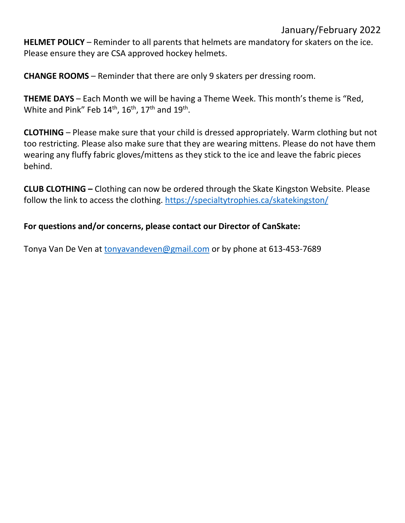## January/February 2022

**HELMET POLICY** – Reminder to all parents that helmets are mandatory for skaters on the ice. Please ensure they are CSA approved hockey helmets.

**CHANGE ROOMS** – Reminder that there are only 9 skaters per dressing room.

**THEME DAYS** – Each Month we will be having a Theme Week. This month's theme is "Red, White and Pink" Feb  $14<sup>th</sup>$ ,  $16<sup>th</sup>$ ,  $17<sup>th</sup>$  and  $19<sup>th</sup>$ .

**CLOTHING** – Please make sure that your child is dressed appropriately. Warm clothing but not too restricting. Please also make sure that they are wearing mittens. Please do not have them wearing any fluffy fabric gloves/mittens as they stick to the ice and leave the fabric pieces behind.

**CLUB CLOTHING –** Clothing can now be ordered through the Skate Kingston Website. Please follow the link to access the clothing.<https://specialtytrophies.ca/skatekingston/>

## **For questions and/or concerns, please contact our Director of CanSkate:**

Tonya Van De Ven at [tonyavandeven@gmail.com](mailto:tonyavandeven@gmail.com) or by phone at 613-453-7689